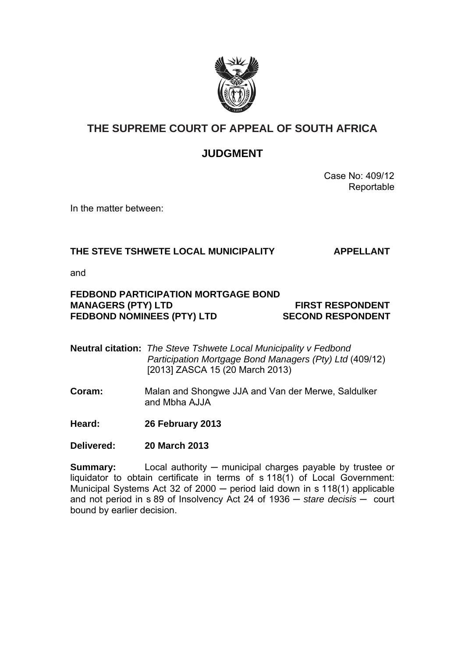

## **THE SUPREME COURT OF APPEAL OF SOUTH AFRICA**

### **JUDGMENT**

 Case No: 409/12 Reportable

In the matter between:

### **THE STEVE TSHWETE LOCAL MUNICIPALITY APPELLANT**

and

#### **FEDBOND PARTICIPATION MORTGAGE BOND MANAGERS (PTY) LTD FIRST RESPONDENT** FEDBOND NOMINEES (PTY) LTD SECOND RESPONDENT

**Neutral citation:** *The Steve Tshwete Local Municipality v Fedbond Participation Mortgage Bond Managers (Pty) Ltd* (409/12) [2013] ZASCA 15 (20 March 2013)

**Coram:** Malan and Shongwe JJA and Van der Merwe, Saldulker and Mbha AJJA

**Heard: 26 February 2013** 

**Delivered: 20 March 2013** 

**Summary:** Local authority — municipal charges payable by trustee or liquidator to obtain certificate in terms of s 118(1) of Local Government: Municipal Systems Act 32 of 2000 ─ period laid down in s 118(1) applicable and not period in s 89 of Insolvency Act 24 of 1936 ─ *stare decisis* ─ court bound by earlier decision.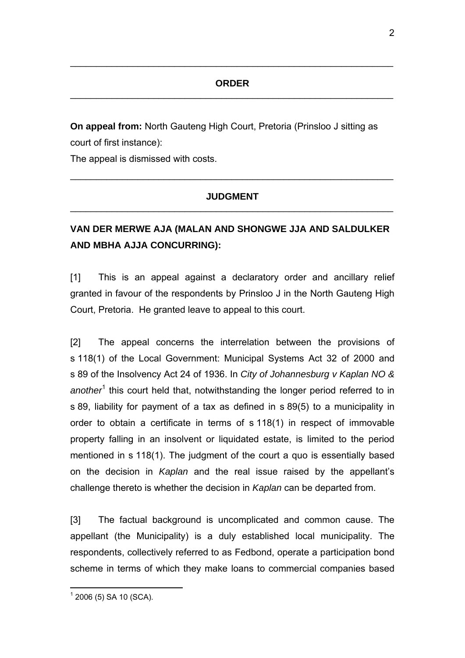$\_$ 

**On appeal from:** North Gauteng High Court, Pretoria (Prinsloo J sitting as court of first instance):

The appeal is dismissed with costs.

#### **JUDGMENT**  \_\_\_\_\_\_\_\_\_\_\_\_\_\_\_\_\_\_\_\_\_\_\_\_\_\_\_\_\_\_\_\_\_\_\_\_\_\_\_\_\_\_\_\_\_\_\_\_\_\_\_\_\_\_\_\_\_\_\_\_\_\_

 $\_$  , and the contribution of the contribution of  $\mathcal{L}_\mathcal{A}$  , and the contribution of  $\mathcal{L}_\mathcal{A}$ 

# **VAN DER MERWE AJA (MALAN AND SHONGWE JJA AND SALDULKER AND MBHA AJJA CONCURRING):**

[1] This is an appeal against a declaratory order and ancillary relief granted in favour of the respondents by Prinsloo J in the North Gauteng High Court, Pretoria. He granted leave to appeal to this court.

[2] The appeal concerns the interrelation between the provisions of s 118(1) of the Local Government: Municipal Systems Act 32 of 2000 and s 89 of the Insolvency Act 24 of 1936. In *City of Johannesburg v Kaplan NO &*  another<sup>1</sup> this court held that, notwithstanding the longer period referred to in s 89, liability for payment of a tax as defined in s 89(5) to a municipality in order to obtain a certificate in terms of s 118(1) in respect of immovable property falling in an insolvent or liquidated estate, is limited to the period mentioned in s 118(1). The judgment of the court a quo is essentially based on the decision in *Kaplan* and the real issue raised by the appellant's challenge thereto is whether the decision in *Kaplan* can be departed from.

[3] The factual background is uncomplicated and common cause. The appellant (the Municipality) is a duly established local municipality. The respondents, collectively referred to as Fedbond, operate a participation bond scheme in terms of which they make loans to commercial companies based

 $\overline{a}$  $1$  2006 (5) SA 10 (SCA).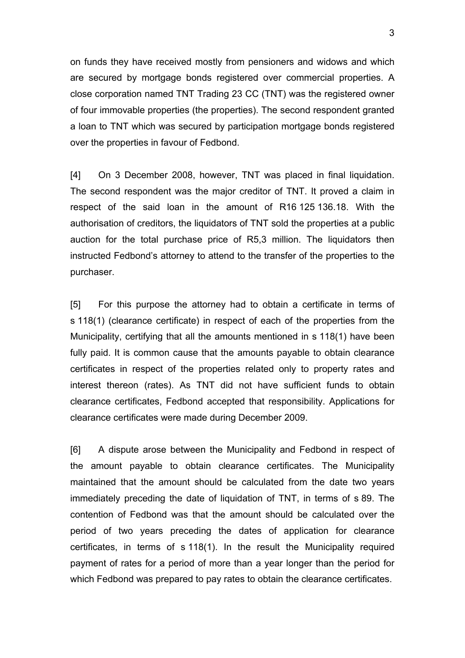on funds they have received mostly from pensioners and widows and which are secured by mortgage bonds registered over commercial properties. A close corporation named TNT Trading 23 CC (TNT) was the registered owner of four immovable properties (the properties). The second respondent granted a loan to TNT which was secured by participation mortgage bonds registered over the properties in favour of Fedbond.

[4] On 3 December 2008, however, TNT was placed in final liquidation. The second respondent was the major creditor of TNT. It proved a claim in respect of the said loan in the amount of R16 125 136.18. With the authorisation of creditors, the liquidators of TNT sold the properties at a public auction for the total purchase price of R5,3 million. The liquidators then instructed Fedbond's attorney to attend to the transfer of the properties to the purchaser.

[5] For this purpose the attorney had to obtain a certificate in terms of s 118(1) (clearance certificate) in respect of each of the properties from the Municipality, certifying that all the amounts mentioned in s 118(1) have been fully paid. It is common cause that the amounts payable to obtain clearance certificates in respect of the properties related only to property rates and interest thereon (rates). As TNT did not have sufficient funds to obtain clearance certificates, Fedbond accepted that responsibility. Applications for clearance certificates were made during December 2009.

[6] A dispute arose between the Municipality and Fedbond in respect of the amount payable to obtain clearance certificates. The Municipality maintained that the amount should be calculated from the date two years immediately preceding the date of liquidation of TNT, in terms of s 89. The contention of Fedbond was that the amount should be calculated over the period of two years preceding the dates of application for clearance certificates, in terms of s 118(1). In the result the Municipality required payment of rates for a period of more than a year longer than the period for which Fedbond was prepared to pay rates to obtain the clearance certificates.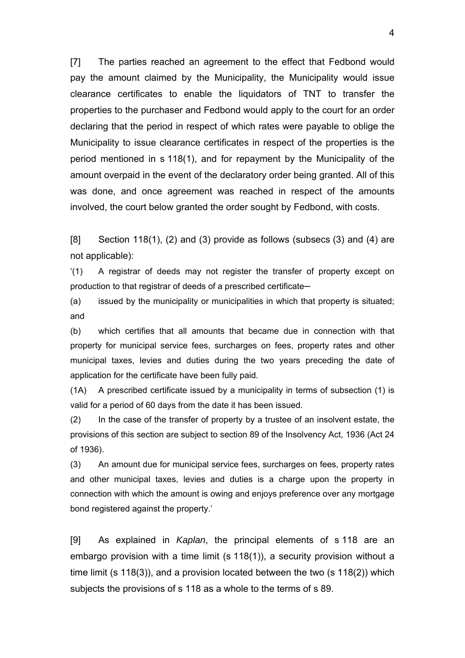[7] The parties reached an agreement to the effect that Fedbond would pay the amount claimed by the Municipality, the Municipality would issue clearance certificates to enable the liquidators of TNT to transfer the properties to the purchaser and Fedbond would apply to the court for an order declaring that the period in respect of which rates were payable to oblige the Municipality to issue clearance certificates in respect of the properties is the period mentioned in s 118(1), and for repayment by the Municipality of the amount overpaid in the event of the declaratory order being granted. All of this was done, and once agreement was reached in respect of the amounts involved, the court below granted the order sought by Fedbond, with costs.

 $[8]$  Section 118(1), (2) and (3) provide as follows (subsecs (3) and (4) are not applicable):

'(1) A registrar of deeds may not register the transfer of property except on production to that registrar of deeds of a prescribed certificate-

(a) issued by the municipality or municipalities in which that property is situated; and

(b) which certifies that all amounts that became due in connection with that property for municipal service fees, surcharges on fees, property rates and other municipal taxes, levies and duties during the two years preceding the date of application for the certificate have been fully paid.

(1A) A prescribed certificate issued by a municipality in terms of subsection (1) is valid for a period of 60 days from the date it has been issued.

(2) In the case of the transfer of property by a trustee of an insolvent estate, the provisions of this section are subject to section 89 of the Insolvency Act, 1936 (Act 24 of 1936).

(3) An amount due for municipal service fees, surcharges on fees, property rates and other municipal taxes, levies and duties is a charge upon the property in connection with which the amount is owing and enjoys preference over any mortgage bond registered against the property.'

[9] As explained in *Kaplan*, the principal elements of s 118 are an embargo provision with a time limit (s 118(1)), a security provision without a time limit (s 118(3)), and a provision located between the two (s 118(2)) which subjects the provisions of s 118 as a whole to the terms of s 89.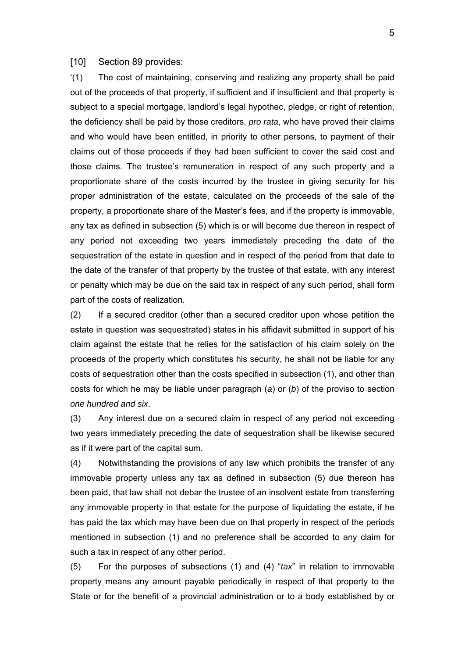#### [10] Section 89 provides:

'(1) The cost of maintaining, conserving and realizing any property shall be paid out of the proceeds of that property, if sufficient and if insufficient and that property is subject to a special mortgage, landlord's legal hypothec, pledge, or right of retention, the deficiency shall be paid by those creditors, *pro rata*, who have proved their claims and who would have been entitled, in priority to other persons, to payment of their claims out of those proceeds if they had been sufficient to cover the said cost and those claims. The trustee's remuneration in respect of any such property and a proportionate share of the costs incurred by the trustee in giving security for his proper administration of the estate, calculated on the proceeds of the sale of the property, a proportionate share of the Master's fees, and if the property is immovable, any tax as defined in subsection (5) which is or will become due thereon in respect of any period not exceeding two years immediately preceding the date of the sequestration of the estate in question and in respect of the period from that date to the date of the transfer of that property by the trustee of that estate, with any interest or penalty which may be due on the said tax in respect of any such period, shall form part of the costs of realization.

(2) If a secured creditor (other than a secured creditor upon whose petition the estate in question was sequestrated) states in his affidavit submitted in support of his claim against the estate that he relies for the satisfaction of his claim solely on the proceeds of the property which constitutes his security, he shall not be liable for any costs of sequestration other than the costs specified in subsection (1), and other than costs for which he may be liable under paragraph (*a*) or (*b*) of the proviso to section *one hundred and six*.

(3) Any interest due on a secured claim in respect of any period not exceeding two years immediately preceding the date of sequestration shall be likewise secured as if it were part of the capital sum.

(4) Notwithstanding the provisions of any law which prohibits the transfer of any immovable property unless any tax as defined in subsection (5) due thereon has been paid, that law shall not debar the trustee of an insolvent estate from transferring any immovable property in that estate for the purpose of liquidating the estate, if he has paid the tax which may have been due on that property in respect of the periods mentioned in subsection (1) and no preference shall be accorded to any claim for such a tax in respect of any other period.

(5) For the purposes of subsections (1) and (4) "*tax*" in relation to immovable property means any amount payable periodically in respect of that property to the State or for the benefit of a provincial administration or to a body established by or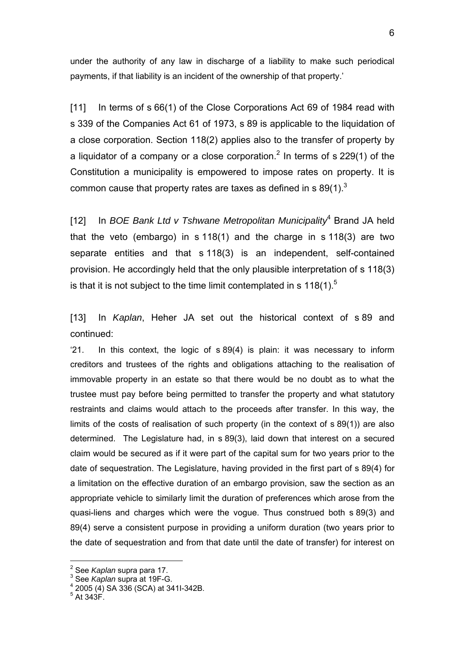under the authority of any law in discharge of a liability to make such periodical payments, if that liability is an incident of the ownership of that property.'

[11] In terms of s 66(1) of the Close Corporations Act 69 of 1984 read with s 339 of the Companies Act 61 of 1973, s 89 is applicable to the liquidation of a close corporation. Section 118(2) applies also to the transfer of property by a liquidator of a company or a close corporation.<sup>2</sup> In terms of s 229(1) of the Constitution a municipality is empowered to impose rates on property. It is common cause that property rates are taxes as defined in s  $89(1)^3$ 

[12] In *BOE Bank Ltd v Tshwane Metropolitan Municipality*<sup>4</sup> Brand JA held that the veto (embargo) in s 118(1) and the charge in s 118(3) are two separate entities and that s 118(3) is an independent, self-contained provision. He accordingly held that the only plausible interpretation of s 118(3) is that it is not subject to the time limit contemplated in s  $118(1)$ .<sup>5</sup>

[13] In *Kaplan*, Heher JA set out the historical context of s 89 and continued:

'21. In this context, the logic of s 89(4) is plain: it was necessary to inform creditors and trustees of the rights and obligations attaching to the realisation of immovable property in an estate so that there would be no doubt as to what the trustee must pay before being permitted to transfer the property and what statutory restraints and claims would attach to the proceeds after transfer. In this way, the limits of the costs of realisation of such property (in the context of s 89(1)) are also determined. The Legislature had, in s 89(3), laid down that interest on a secured claim would be secured as if it were part of the capital sum for two years prior to the date of sequestration. The Legislature, having provided in the first part of s 89(4) for a limitation on the effective duration of an embargo provision, saw the section as an appropriate vehicle to similarly limit the duration of preferences which arose from the quasi-liens and charges which were the vogue. Thus construed both s 89(3) and 89(4) serve a consistent purpose in providing a uniform duration (two years prior to the date of sequestration and from that date until the date of transfer) for interest on

<sup>&</sup>lt;u>-</u><br><sup>2</sup> See *Kaplan* supra para 17.<br><sup>3</sup> See Kaplan supra et 195 C

<sup>&</sup>lt;sup>3</sup> See *Kaplan* supra at 19F-G.

 $4$  2005 (4) SA 336 (SCA) at 3411-342B.

 $^5$  At 343F.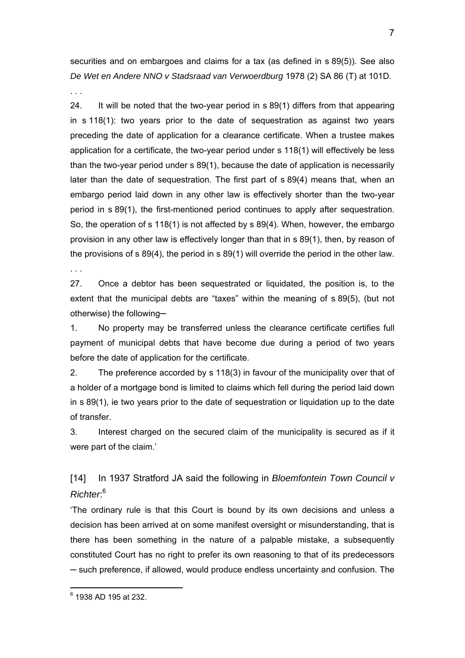securities and on embargoes and claims for a tax (as defined in s 89(5)). See also *De Wet en Andere NNO v Stadsraad van Verwoerdburg* 1978 (2) SA 86 (T) at 101D.

. . .

24. It will be noted that the two-year period in s 89(1) differs from that appearing in s 118(1): two years prior to the date of sequestration as against two years preceding the date of application for a clearance certificate. When a trustee makes application for a certificate, the two-year period under s 118(1) will effectively be less than the two-year period under s 89(1), because the date of application is necessarily later than the date of sequestration. The first part of s 89(4) means that, when an embargo period laid down in any other law is effectively shorter than the two-year period in s 89(1), the first-mentioned period continues to apply after sequestration. So, the operation of s 118(1) is not affected by s 89(4). When, however, the embargo provision in any other law is effectively longer than that in s 89(1), then, by reason of the provisions of s 89(4), the period in s 89(1) will override the period in the other law.

. . .

27. Once a debtor has been sequestrated or liquidated, the position is, to the extent that the municipal debts are "taxes" within the meaning of s 89(5), (but not otherwise) the following─

1. No property may be transferred unless the clearance certificate certifies full payment of municipal debts that have become due during a period of two years before the date of application for the certificate.

2. The preference accorded by s 118(3) in favour of the municipality over that of a holder of a mortgage bond is limited to claims which fell during the period laid down in s 89(1), ie two years prior to the date of sequestration or liquidation up to the date of transfer.

3. Interest charged on the secured claim of the municipality is secured as if it were part of the claim.'

[14] In 1937 Stratford JA said the following in *Bloemfontein Town Council v Richter*: 6

'The ordinary rule is that this Court is bound by its own decisions and unless a decision has been arrived at on some manifest oversight or misunderstanding, that is there has been something in the nature of a palpable mistake, a subsequently constituted Court has no right to prefer its own reasoning to that of its predecessors ─ such preference, if allowed, would produce endless uncertainty and confusion. The

7

 6 1938 AD 195 at 232.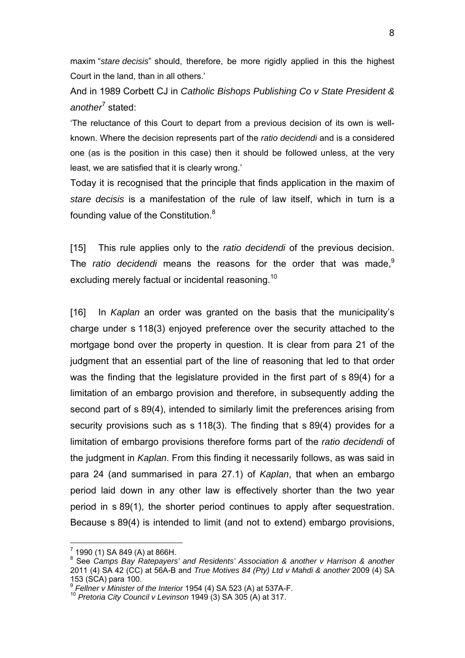maxim "*stare decisis*" should, therefore, be more rigidly applied in this the highest Court in the land, than in all others.'

And in 1989 Corbett CJ in *Catholic Bishops Publishing Co v State President &*  another<sup>7</sup> stated:

'The reluctance of this Court to depart from a previous decision of its own is wellknown. Where the decision represents part of the *ratio decidendi* and is a considered one (as is the position in this case) then it should be followed unless, at the very least, we are satisfied that it is clearly wrong.'

Today it is recognised that the principle that finds application in the maxim of *stare decisis* is a manifestation of the rule of law itself, which in turn is a founding value of the Constitution.<sup>8</sup>

[15] This rule applies only to the *ratio decidendi* of the previous decision. The *ratio decidendi* means the reasons for the order that was made.<sup>9</sup> excluding merely factual or incidental reasoning.<sup>10</sup>

[16] In *Kaplan* an order was granted on the basis that the municipality's charge under s 118(3) enjoyed preference over the security attached to the mortgage bond over the property in question. It is clear from para 21 of the judgment that an essential part of the line of reasoning that led to that order was the finding that the legislature provided in the first part of s 89(4) for a limitation of an embargo provision and therefore, in subsequently adding the second part of s 89(4), intended to similarly limit the preferences arising from security provisions such as s 118(3). The finding that s 89(4) provides for a limitation of embargo provisions therefore forms part of the *ratio decidendi* of the judgment in *Kaplan*. From this finding it necessarily follows, as was said in para 24 (and summarised in para 27.1) of *Kaplan*, that when an embargo period laid down in any other law is effectively shorter than the two year period in s 89(1), the shorter period continues to apply after sequestration. Because s 89(4) is intended to limit (and not to extend) embargo provisions,

-

 $7$  1990 (1) SA 849 (A) at 866H.

<sup>&</sup>lt;sup>8</sup> See Camps Bay Ratepayers' and Residents' Association & another v Harrison & another 2011 (4) SA 42 (CC) at 56A-B and *True Motives 84 (Pty) Ltd v Mahdi & another* 2009 (4) SA 153 (SCA) para 100.<br> $^9$  Fellner v Minister of the Interior 1954 (4) SA 523 (A) at 537A-F.

<sup>&</sup>lt;sup>10</sup> Pretoria City Council v Levinson 1949 (3) SA 305 (A) at 317.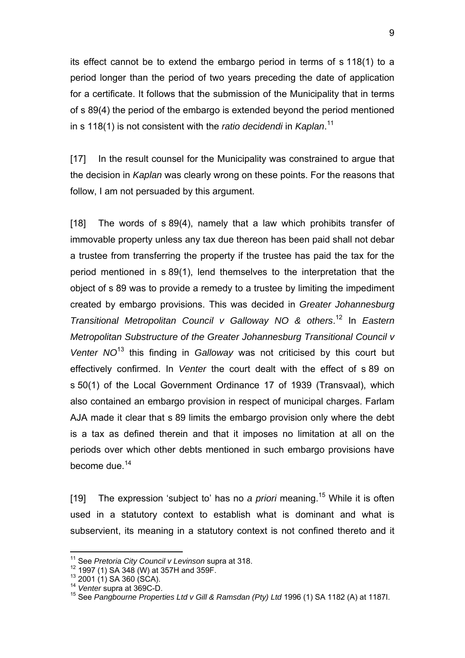its effect cannot be to extend the embargo period in terms of s 118(1) to a period longer than the period of two years preceding the date of application for a certificate. It follows that the submission of the Municipality that in terms of s 89(4) the period of the embargo is extended beyond the period mentioned in s 118(1) is not consistent with the *ratio decidendi* in *Kaplan*. 11

[17] In the result counsel for the Municipality was constrained to argue that the decision in *Kaplan* was clearly wrong on these points. For the reasons that follow, I am not persuaded by this argument.

[18] The words of s 89(4), namely that a law which prohibits transfer of immovable property unless any tax due thereon has been paid shall not debar a trustee from transferring the property if the trustee has paid the tax for the period mentioned in s 89(1), lend themselves to the interpretation that the object of s 89 was to provide a remedy to a trustee by limiting the impediment created by embargo provisions. This was decided in *Greater Johannesburg Transitional Metropolitan Council v Galloway NO & others*. 12 In *Eastern Metropolitan Substructure of the Greater Johannesburg Transitional Council v Venter NO*13 this finding in *Galloway* was not criticised by this court but effectively confirmed. In *Venter* the court dealt with the effect of s 89 on s 50(1) of the Local Government Ordinance 17 of 1939 (Transvaal), which also contained an embargo provision in respect of municipal charges. Farlam AJA made it clear that s 89 limits the embargo provision only where the debt is a tax as defined therein and that it imposes no limitation at all on the periods over which other debts mentioned in such embargo provisions have become due.<sup>14</sup>

[19] The expression 'subject to' has no *a priori* meaning.15 While it is often used in a statutory context to establish what is dominant and what is subservient, its meaning in a statutory context is not confined thereto and it

-

<sup>&</sup>lt;sup>11</sup> See *Pretoria City Council v Levinson* supra at 318.<br><sup>12</sup> 1997 (1) SA 348 (W) at 357H and 359F.<br><sup>13</sup> 2001 (1) SA 360 (SCA).<br><sup>14</sup> Venter supra at 369C-D.<br><sup>15</sup> See *Pangbourne Properties Ltd v Gill & Ramsdan (Pty) Ltd*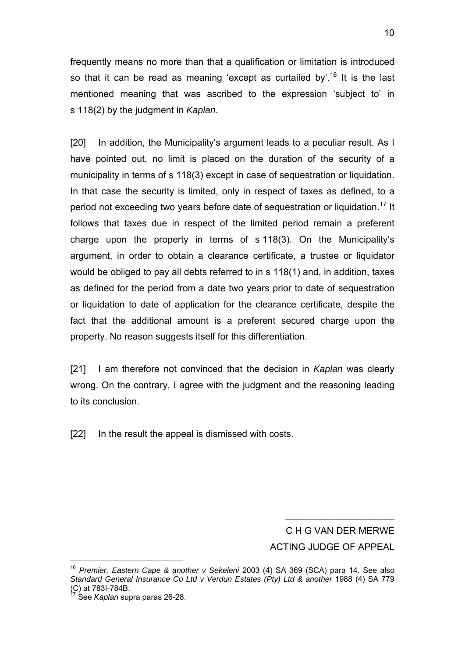frequently means no more than that a qualification or limitation is introduced so that it can be read as meaning 'except as curtailed by'.<sup>16</sup> It is the last mentioned meaning that was ascribed to the expression 'subject to' in s 118(2) by the judgment in *Kaplan*.

[20] In addition, the Municipality's argument leads to a peculiar result. As I have pointed out, no limit is placed on the duration of the security of a municipality in terms of s 118(3) except in case of sequestration or liquidation. In that case the security is limited, only in respect of taxes as defined, to a period not exceeding two years before date of sequestration or liquidation.<sup>17</sup> It follows that taxes due in respect of the limited period remain a preferent charge upon the property in terms of s 118(3). On the Municipality's argument, in order to obtain a clearance certificate, a trustee or liquidator would be obliged to pay all debts referred to in s 118(1) and, in addition, taxes as defined for the period from a date two years prior to date of sequestration or liquidation to date of application for the clearance certificate, despite the fact that the additional amount is a preferent secured charge upon the property. No reason suggests itself for this differentiation.

[21] I am therefore not convinced that the decision in *Kaplan* was clearly wrong. On the contrary, I agree with the judgment and the reasoning leading to its conclusion.

[22] In the result the appeal is dismissed with costs.

C H G VAN DER MERWE ACTING JUDGE OF APPEAL

 $\_$ 

 $\overline{a}$ 

<sup>16</sup> *Premier, Eastern Cape & another v Sekeleni* 2003 (4) SA 369 (SCA) para 14. See also *Standard General Insurance Co Ltd v Verdun Estates (Pty) Ltd & another* 1988 (4) SA 779  $(C)$  at 783I-784B.

<sup>17</sup> See *Kaplan* supra paras 26-28.